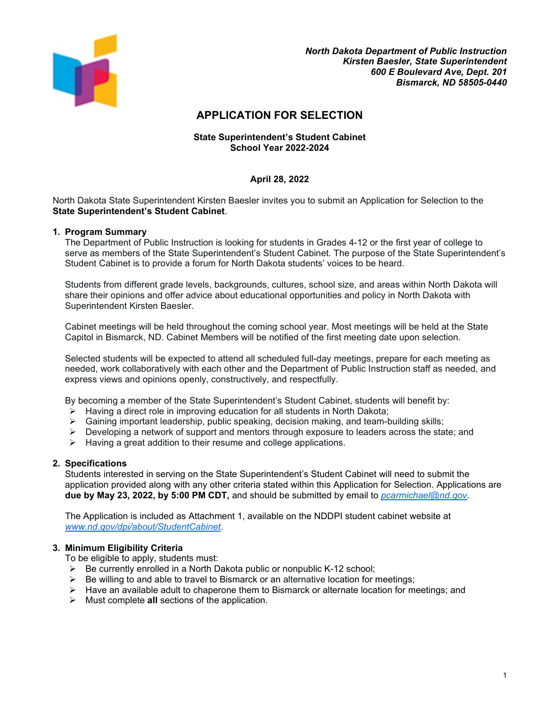

# **APPLICATION FOR SELECTION**

#### **State Superintendent's Student Cabinet School Year 2022-2024**

# **April 28, 2022**

North Dakota State Superintendent Kirsten Baesler invites you to submit an Application for Selection to the **State Superintendent's Student Cabinet**.

#### **1. Program Summary**

The Department of Public Instruction is looking for students in Grades 4-12 or the first year of college to serve as members of the State Superintendent's Student Cabinet. The purpose of the State Superintendent's Student Cabinet is to provide a forum for North Dakota students' voices to be heard.

Students from different grade levels, backgrounds, cultures, school size, and areas within North Dakota will share their opinions and offer advice about educational opportunities and policy in North Dakota with Superintendent Kirsten Baesler.

Cabinet meetings will be held throughout the coming school year. Most meetings will be held at the State Capitol in Bismarck, ND. Cabinet Members will be notified of the first meeting date upon selection.

Selected students will be expected to attend all scheduled full-day meetings, prepare for each meeting as needed, work collaboratively with each other and the Department of Public Instruction staff as needed, and express views and opinions openly, constructively, and respectfully.

By becoming a member of the State Superintendent's Student Cabinet, students will benefit by:

- $\triangleright$  Having a direct role in improving education for all students in North Dakota;
- $\triangleright$  Gaining important leadership, public speaking, decision making, and team-building skills;
- $\triangleright$  Developing a network of support and mentors through exposure to leaders across the state; and
- $\triangleright$  Having a great addition to their resume and college applications.

#### **2. Specifications**

Students interested in serving on the State Superintendent's Student Cabinet will need to submit the application provided along with any other criteria stated within this Application for Selection. Applications are **due by May 23, 2022, by 5:00 PM CDT,** and should be submitted by email to *[pcarmichael@nd.gov](mailto:pcarmichael@nd.gov)*.

The Application is included as Attachment 1, available on the NDDPI student cabinet website at *www.nd.gov/dpi/about/StudentCabinet*.

#### **3. Minimum Eligibility Criteria**

To be eligible to apply, students must:

- $\triangleright$  Be currently enrolled in a North Dakota public or nonpublic K-12 school;
- $\triangleright$  Be willing to and able to travel to Bismarck or an alternative location for meetings;
- $\triangleright$  Have an available adult to chaperone them to Bismarck or alternate location for meetings; and
- Must complete **all** sections of the application.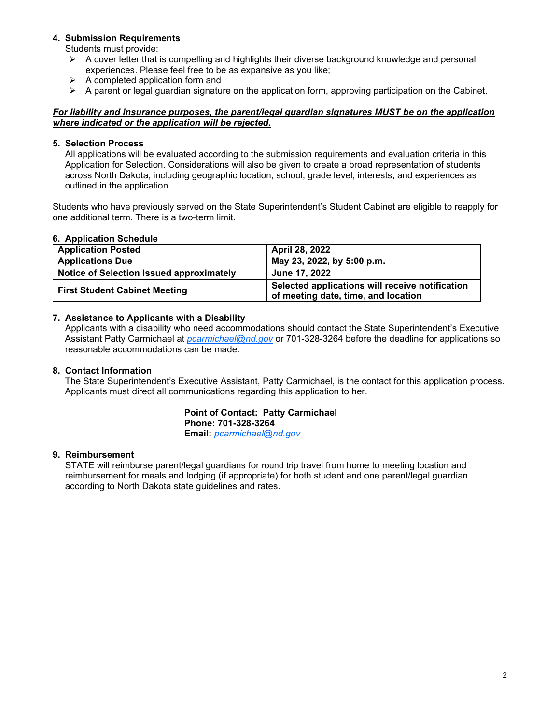# **4. Submission Requirements**

Students must provide:

- $\triangleright$  A cover letter that is compelling and highlights their diverse background knowledge and personal experiences. Please feel free to be as expansive as you like;
- $\triangleright$  A completed application form and
- $\triangleright$  A parent or legal guardian signature on the application form, approving participation on the Cabinet.

#### *For liability and insurance purposes, the parent/legal guardian signatures MUST be on the application where indicated or the application will be rejected.*

#### **5. Selection Process**

All applications will be evaluated according to the submission requirements and evaluation criteria in this Application for Selection. Considerations will also be given to create a broad representation of students across North Dakota, including geographic location, school, grade level, interests, and experiences as outlined in the application.

Students who have previously served on the State Superintendent's Student Cabinet are eligible to reapply for one additional term. There is a two-term limit.

#### **6. Application Schedule**

| <b>Application Posted</b>                | April 28, 2022                                                                         |
|------------------------------------------|----------------------------------------------------------------------------------------|
| <b>Applications Due</b>                  | May 23, 2022, by 5:00 p.m.                                                             |
| Notice of Selection Issued approximately | <b>June 17, 2022</b>                                                                   |
| <b>First Student Cabinet Meeting</b>     | Selected applications will receive notification<br>of meeting date, time, and location |

#### **7. Assistance to Applicants with a Disability**

Applicants with a disability who need accommodations should contact the State Superintendent's Executive Assistant Patty Carmichael at *[pcarmichael@nd.gov](mailto:pcarmichael@nd.gov)* or 701-328-3264 before the deadline for applications so reasonable accommodations can be made.

# **8. Contact Information**

The State Superintendent's Executive Assistant, Patty Carmichael, is the contact for this application process. Applicants must direct all communications regarding this application to her.

#### **Point of Contact: Patty Carmichael Phone: 701-328-3264 Email:** *[pcarmichael@nd.gov](mailto:pcarmichael@nd.gov)*

# **9. Reimbursement**

STATE will reimburse parent/legal guardians for round trip travel from home to meeting location and reimbursement for meals and lodging (if appropriate) for both student and one parent/legal guardian according to North Dakota state guidelines and rates.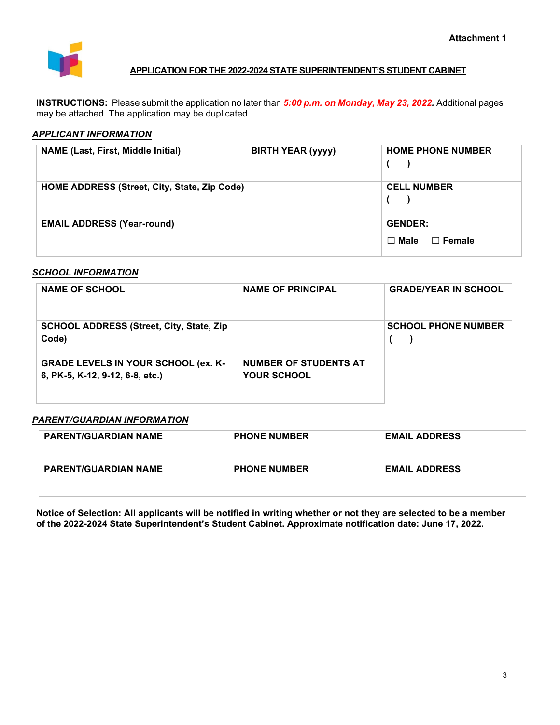

# **APPLICATION FOR THE 2022-2024 STATE SUPERINTENDENT'S STUDENT CABINET**

**INSTRUCTIONS:** Please submit the application no later than *5:00 p.m. on Monday, May 23, 2022.* Additional pages may be attached. The application may be duplicated.

# *APPLICANT INFORMATION*

| <b>NAME (Last, First, Middle Initial)</b>    | <b>BIRTH YEAR (yyyy)</b> | <b>HOME PHONE NUMBER</b>                       |
|----------------------------------------------|--------------------------|------------------------------------------------|
| HOME ADDRESS (Street, City, State, Zip Code) |                          | <b>CELL NUMBER</b>                             |
| <b>EMAIL ADDRESS (Year-round)</b>            |                          | <b>GENDER:</b><br>$\Box$ Male<br>$\Box$ Female |

# *SCHOOL INFORMATION*

| <b>NAME OF SCHOOL</b>                                                         | <b>NAME OF PRINCIPAL</b>                    | <b>GRADE/YEAR IN SCHOOL</b> |
|-------------------------------------------------------------------------------|---------------------------------------------|-----------------------------|
| <b>SCHOOL ADDRESS (Street, City, State, Zip)</b><br>Code)                     |                                             | <b>SCHOOL PHONE NUMBER</b>  |
| <b>GRADE LEVELS IN YOUR SCHOOL (ex. K-</b><br>6, PK-5, K-12, 9-12, 6-8, etc.) | <b>NUMBER OF STUDENTS AT</b><br>YOUR SCHOOL |                             |

# *PARENT/GUARDIAN INFORMATION*

| <b>PARENT/GUARDIAN NAME</b> | <b>PHONE NUMBER</b> | <b>EMAIL ADDRESS</b> |
|-----------------------------|---------------------|----------------------|
| <b>PARENT/GUARDIAN NAME</b> | <b>PHONE NUMBER</b> | <b>EMAIL ADDRESS</b> |

**Notice of Selection: All applicants will be notified in writing whether or not they are selected to be a member of the 2022-2024 State Superintendent's Student Cabinet. Approximate notification date: June 17, 2022.**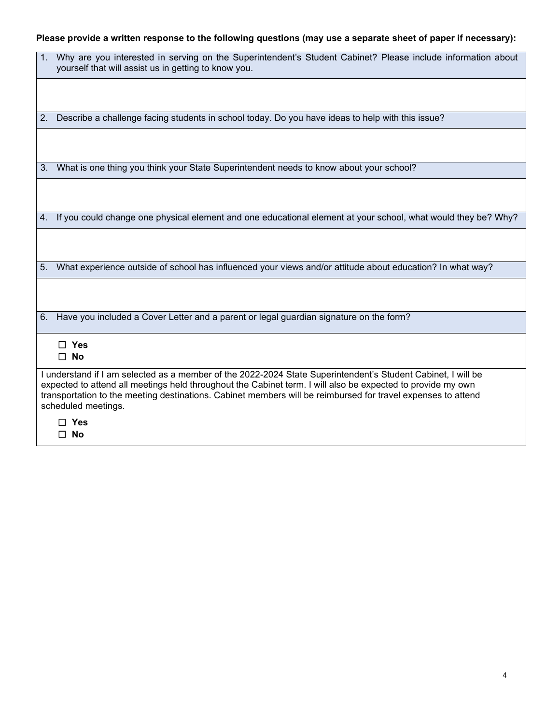# **Please provide a written response to the following questions (may use a separate sheet of paper if necessary):**

|                                                                                                                                                                                                                                                                                                                                                                    | 1. Why are you interested in serving on the Superintendent's Student Cabinet? Please include information about<br>yourself that will assist us in getting to know you. |
|--------------------------------------------------------------------------------------------------------------------------------------------------------------------------------------------------------------------------------------------------------------------------------------------------------------------------------------------------------------------|------------------------------------------------------------------------------------------------------------------------------------------------------------------------|
|                                                                                                                                                                                                                                                                                                                                                                    |                                                                                                                                                                        |
| 2.                                                                                                                                                                                                                                                                                                                                                                 | Describe a challenge facing students in school today. Do you have ideas to help with this issue?                                                                       |
|                                                                                                                                                                                                                                                                                                                                                                    |                                                                                                                                                                        |
|                                                                                                                                                                                                                                                                                                                                                                    | 3. What is one thing you think your State Superintendent needs to know about your school?                                                                              |
|                                                                                                                                                                                                                                                                                                                                                                    |                                                                                                                                                                        |
| 4.                                                                                                                                                                                                                                                                                                                                                                 | If you could change one physical element and one educational element at your school, what would they be? Why?                                                          |
|                                                                                                                                                                                                                                                                                                                                                                    |                                                                                                                                                                        |
| 5.                                                                                                                                                                                                                                                                                                                                                                 | What experience outside of school has influenced your views and/or attitude about education? In what way?                                                              |
|                                                                                                                                                                                                                                                                                                                                                                    |                                                                                                                                                                        |
|                                                                                                                                                                                                                                                                                                                                                                    | 6. Have you included a Cover Letter and a parent or legal guardian signature on the form?                                                                              |
|                                                                                                                                                                                                                                                                                                                                                                    | $\Box$ Yes<br>$\square$ No                                                                                                                                             |
| I understand if I am selected as a member of the 2022-2024 State Superintendent's Student Cabinet, I will be<br>expected to attend all meetings held throughout the Cabinet term. I will also be expected to provide my own<br>transportation to the meeting destinations. Cabinet members will be reimbursed for travel expenses to attend<br>scheduled meetings. |                                                                                                                                                                        |
|                                                                                                                                                                                                                                                                                                                                                                    | □ Yes<br>□ No                                                                                                                                                          |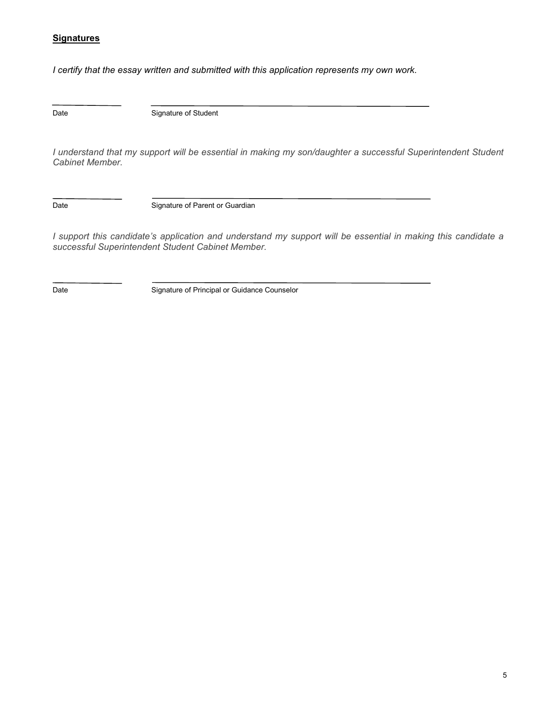# **Signatures**

*I certify that the essay written and submitted with this application represents my own work.*

Date

Signature of Student

*I understand that my support will be essential in making my son/daughter a successful Superintendent Student Cabinet Member.* 

Date

Signature of Parent or Guardian

*I support this candidate's application and understand my support will be essential in making this candidate a successful Superintendent Student Cabinet Member.* 

 $\overline{a}$ 

Date **Signature of Principal or Guidance Counselor**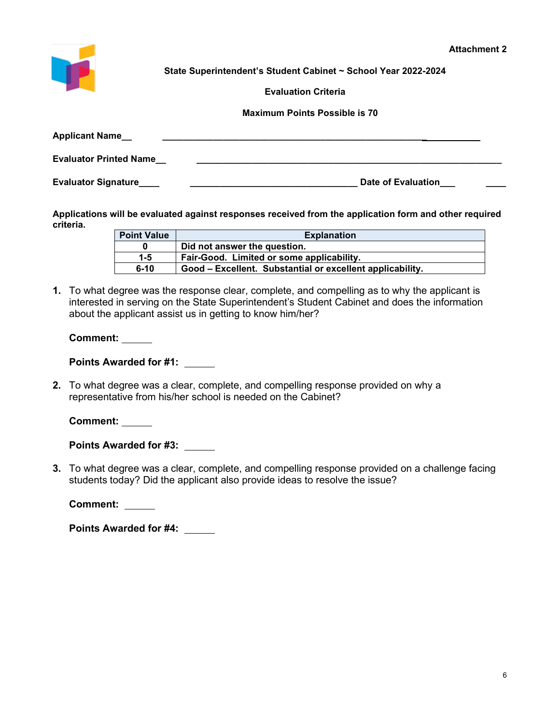

**State Superintendent's Student Cabinet ~ School Year 2022-2024** 

**Evaluation Criteria**

 **Maximum Points Possible is 70**

| <b>Applicant Name</b>         |                    |
|-------------------------------|--------------------|
| <b>Evaluator Printed Name</b> |                    |
| <b>Evaluator Signature</b>    | Date of Evaluation |

**Applications will be evaluated against responses received from the application form and other required criteria.**

| <b>Point Value</b> | <b>Explanation</b>                                        |
|--------------------|-----------------------------------------------------------|
|                    | Did not answer the question.                              |
| $1 - 5$            | Fair-Good. Limited or some applicability.                 |
| $6 - 10$           | Good – Excellent. Substantial or excellent applicability. |

**1.** To what degree was the response clear, complete, and compelling as to why the applicant is interested in serving on the State Superintendent's Student Cabinet and does the information about the applicant assist us in getting to know him/her?

**Comment:** 

**Points Awarded for #1:**

**2.** To what degree was a clear, complete, and compelling response provided on why a representative from his/her school is needed on the Cabinet?

**Comment:** 

**Points Awarded for #3:** 

**3.** To what degree was a clear, complete, and compelling response provided on a challenge facing students today? Did the applicant also provide ideas to resolve the issue?

**Comment:** 

**Points Awarded for #4:**